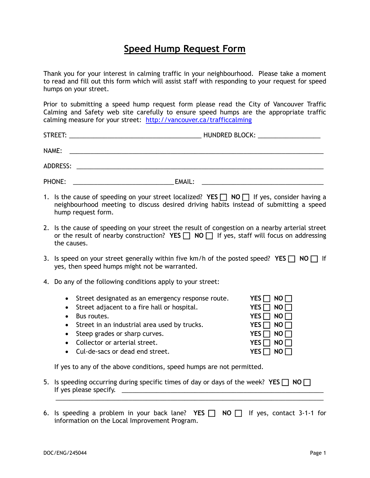## **Speed Hump Request Form**

Thank you for your interest in calming traffic in your neighbourhood. Please take a moment to read and fill out this form which will assist staff with responding to your request for speed humps on your street.

Prior to submitting a speed hump request form please read the City of Vancouver Traffic Calming and Safety web site carefully to ensure speed humps are the appropriate traffic calming measure for your street: <http://vancouver.ca/trafficcalming>

| STREET:         | HUNDRED BLOCK: ____________________ |  |  |
|-----------------|-------------------------------------|--|--|
| NAME:           |                                     |  |  |
| <b>ADDRESS:</b> |                                     |  |  |

PHONE: \_\_\_\_\_\_\_\_\_\_\_\_\_\_\_\_\_\_\_\_\_\_\_\_\_\_\_\_\_ EMAIL: \_\_\_\_\_\_\_\_\_\_\_\_\_\_\_\_\_\_\_\_\_\_\_\_\_\_\_\_\_\_\_\_\_\_\_

- 1. Is the cause of speeding on your street localized? YES  $\Box$  NO  $\Box$  If yes, consider having a neighbourhood meeting to discuss desired driving habits instead of submitting a speed hump request form.
- 2. Is the cause of speeding on your street the result of congestion on a nearby arterial street or the result of nearby construction?  $YES \cap NO \cap$  If yes, staff will focus on addressing the causes.
- 3. Is speed on your street generally within five km/h of the posted speed? **YES**  $\Box$  **NO**  $\Box$  If yes, then speed humps might not be warranted.
- 4. Do any of the following conditions apply to your street:
	- Street designated as an emergency response route.
	- Street adjacent to a fire hall or hospital.
	- Bus routes.
	- Street in an industrial area used by trucks.
	- Steep grades or sharp curves.
	- **•** Collector or arterial street.
	- Cul-de-sacs or dead end street.

If yes to any of the above conditions, speed humps are not permitted.

- 5. Is speeding occurring during specific times of day or days of the week? **YES**  $\Box$  **NO**  $\Box$ If yes please specify.
- 6. Is speeding a problem in your back lane? **YES NO** If yes, contact 3-1-1 for information on the Local Improvement Program.

\_\_\_\_\_\_\_\_\_\_\_\_\_\_\_\_\_\_\_\_\_\_\_\_\_\_\_\_\_\_\_\_\_\_\_\_\_\_\_\_\_\_\_\_\_\_\_\_\_\_\_\_\_\_\_\_\_\_\_\_\_\_\_\_\_\_\_\_\_\_\_\_\_\_\_\_\_

| YES $\Box$ | $NO$ $\Box$ |
|------------|-------------|
| YES $\Box$ | NO          |
| YES $\Box$ | NO          |
| YES $\Box$ | $NO$ $\Box$ |
| YES $\Box$ | $NO$ $\Box$ |
| YES $\Box$ | $NO \prod$  |
| YES $\Box$ | NO          |